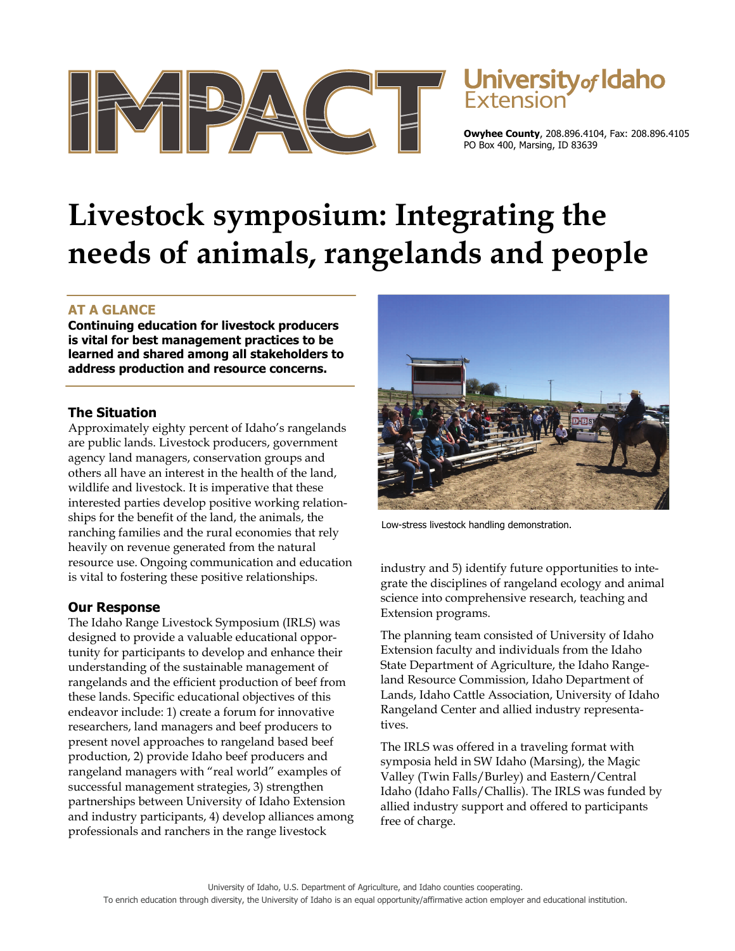

# Jniversity<sub>of</sub> Idaho

**Owyhee County**, 208.896.4104, Fax: 208.896.4105 PO Box 400, Marsing, ID 83639

# **Livestock symposium: Integrating the needs of animals, rangelands and people**

# **AT A GLANCE**

**Continuing education for livestock producers is vital for best management practices to be learned and shared among all stakeholders to address production and resource concerns.** 

### **The Situation**

Approximately eighty percent of Idaho's rangelands are public lands. Livestock producers, government agency land managers, conservation groups and others all have an interest in the health of the land, wildlife and livestock. It is imperative that these interested parties develop positive working relationships for the benefit of the land, the animals, the ranching families and the rural economies that rely heavily on revenue generated from the natural resource use. Ongoing communication and education is vital to fostering these positive relationships.

## **Our Response**

The Idaho Range Livestock Symposium (IRLS) was designed to provide a valuable educational opportunity for participants to develop and enhance their understanding of the sustainable management of rangelands and the efficient production of beef from these lands. Specific educational objectives of this endeavor include: 1) create a forum for innovative researchers, land managers and beef producers to present novel approaches to rangeland based beef production, 2) provide Idaho beef producers and rangeland managers with "real world" examples of successful management strategies, 3) strengthen partnerships between University of Idaho Extension and industry participants, 4) develop alliances among professionals and ranchers in the range livestock



Low-stress livestock handling demonstration.

industry and 5) identify future opportunities to integrate the disciplines of rangeland ecology and animal science into comprehensive research, teaching and Extension programs.

The planning team consisted of University of Idaho Extension faculty and individuals from the Idaho State Department of Agriculture, the Idaho Rangeland Resource Commission, Idaho Department of Lands, Idaho Cattle Association, University of Idaho Rangeland Center and allied industry representatives.

The IRLS was offered in a traveling format with symposia held in SW Idaho (Marsing), the Magic Valley (Twin Falls/Burley) and Eastern/Central Idaho (Idaho Falls/Challis). The IRLS was funded by allied industry support and offered to participants free of charge.